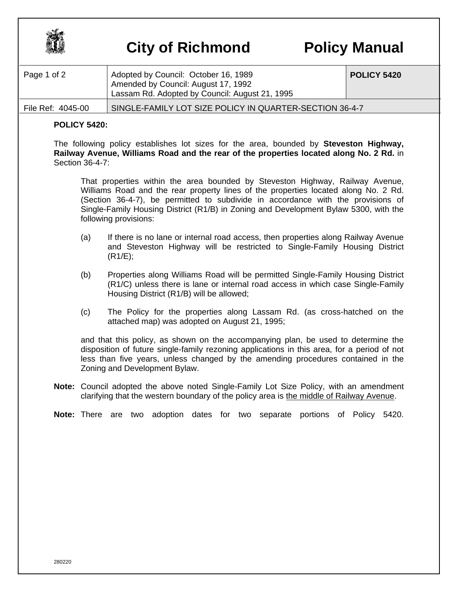

## **City of Richmond Policy Manual**

| Page 1 of 2       | Adopted by Council: October 16, 1989<br>Amended by Council: August 17, 1992<br>Lassam Rd. Adopted by Council: August 21, 1995 | <b>POLICY 5420</b> |
|-------------------|-------------------------------------------------------------------------------------------------------------------------------|--------------------|
| File Ref: 4045-00 | SINGLE-FAMILY LOT SIZE POLICY IN QUARTER-SECTION 36-4-7                                                                       |                    |

## **POLICY 5420:**

The following policy establishes lot sizes for the area, bounded by **Steveston Highway, Railway Avenue, Williams Road and the rear of the properties located along No. 2 Rd.** in Section 36-4-7:

That properties within the area bounded by Steveston Highway, Railway Avenue, Williams Road and the rear property lines of the properties located along No. 2 Rd. (Section 36-4-7), be permitted to subdivide in accordance with the provisions of Single-Family Housing District (R1/B) in Zoning and Development Bylaw 5300, with the following provisions:

- (a) If there is no lane or internal road access, then properties along Railway Avenue and Steveston Highway will be restricted to Single-Family Housing District (R1/E);
- (b) Properties along Williams Road will be permitted Single-Family Housing District (R1/C) unless there is lane or internal road access in which case Single-Family Housing District (R1/B) will be allowed;
- (c) The Policy for the properties along Lassam Rd. (as cross-hatched on the attached map) was adopted on August 21, 1995;

and that this policy, as shown on the accompanying plan, be used to determine the disposition of future single-family rezoning applications in this area, for a period of not less than five years, unless changed by the amending procedures contained in the Zoning and Development Bylaw.

- **Note:** Council adopted the above noted Single-Family Lot Size Policy, with an amendment clarifying that the western boundary of the policy area is the middle of Railway Avenue.
- **Note:** There are two adoption dates for two separate portions of Policy 5420.